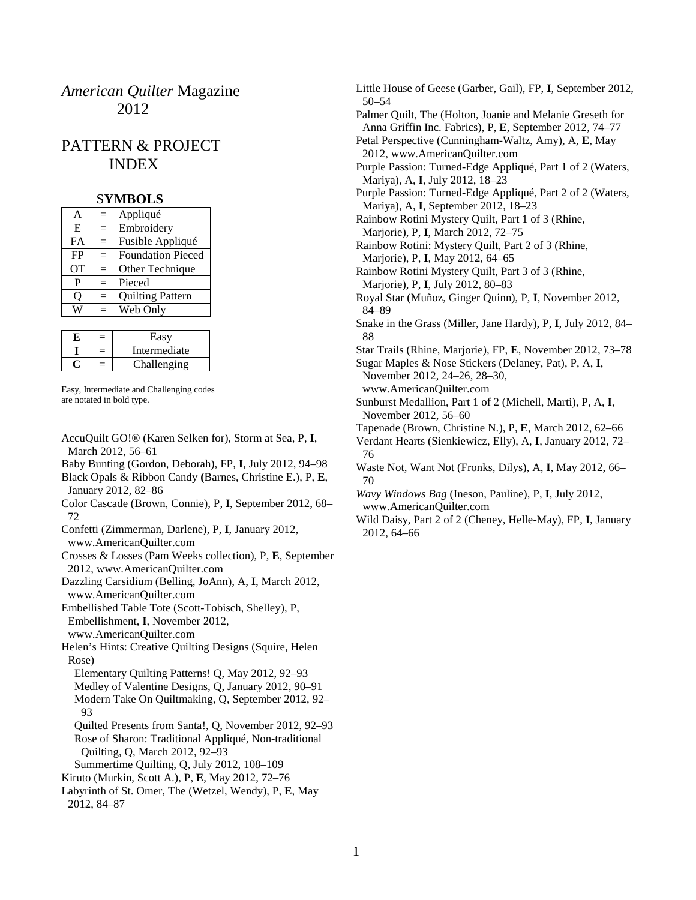# *American Quilter* Magazine 2012

# PATTERN & PROJECT INDEX

#### S**YMBOLS**

| A         | $=$ | Appliqué                 |
|-----------|-----|--------------------------|
| E         | $=$ | Embroidery               |
| <b>FA</b> | $=$ | Fusible Appliqué         |
| FP        | $=$ | <b>Foundation Pieced</b> |
| <b>OT</b> | $=$ | Other Technique          |
| P         | $=$ | Pieced                   |
| 0         | $=$ | <b>Quilting Pattern</b>  |
|           | $=$ | Web Only                 |
|           |     |                          |

| $=$ | Easv         |
|-----|--------------|
| $=$ | Intermediate |
| =   | Challenging  |

Easy, Intermediate and Challenging codes are notated in bold type.

- AccuQuilt GO!® (Karen Selken for), Storm at Sea, P, **I**, March 2012, 56–61
- Baby Bunting (Gordon, Deborah), FP, **I**, July 2012, 94–98
- Black Opals & Ribbon Candy **(**Barnes, Christine E.), P, **E**, January 2012, 82–86
- Color Cascade (Brown, Connie), P, **I**, September 2012, 68– 72
- Confetti (Zimmerman, Darlene), P, **I**, January 2012, www.AmericanQuilter.com
- Crosses & Losses (Pam Weeks collection), P, **E**, September 2012, www.AmericanQuilter.com
- Dazzling Carsidium (Belling, JoAnn), A, **I**, March 2012, www.AmericanQuilter.com
- Embellished Table Tote (Scott-Tobisch, Shelley), P, Embellishment, **I**, November 2012, www.AmericanQuilter.com
- Helen's Hints: Creative Quilting Designs (Squire, Helen Rose)
	- Elementary Quilting Patterns! Q, May 2012, 92–93 Medley of Valentine Designs, Q, January 2012, 90–91 Modern Take On Quiltmaking, Q, September 2012, 92– 93
	- Quilted Presents from Santa!, Q, November 2012, 92–93 Rose of Sharon: Traditional Appliqué, Non-traditional Quilting, Q, March 2012, 92–93
- Summertime Quilting, Q, July 2012, 108–109
- Kiruto (Murkin, Scott A.), P, **E**, May 2012, 72–76
- Labyrinth of St. Omer, The (Wetzel, Wendy), P, **E**, May 2012, 84–87

Little House of Geese (Garber, Gail), FP, **I**, September 2012, 50–54 Palmer Quilt, The (Holton, Joanie and Melanie Greseth for Anna Griffin Inc. Fabrics), P, **E**, September 2012, 74–77 Petal Perspective (Cunningham-Waltz, Amy), A, **E**, May 2012, www.AmericanQuilter.com Purple Passion: Turned-Edge Appliqué, Part 1 of 2 (Waters, Mariya), A, **I**, July 2012, 18–23 Purple Passion: Turned-Edge Appliqué, Part 2 of 2 (Waters, Mariya), A, **I**, September 2012, 18–23 Rainbow Rotini Mystery Quilt, Part 1 of 3 (Rhine, Marjorie), P, **I**, March 2012, 72–75 Rainbow Rotini: Mystery Quilt, Part 2 of 3 (Rhine, Marjorie), P, **I**, May 2012, 64–65 Rainbow Rotini Mystery Quilt, Part 3 of 3 (Rhine, Marjorie), P, **I**, July 2012, 80–83 Royal Star (Muñoz, Ginger Quinn), P, **I**, November 2012, 84–89 Snake in the Grass (Miller, Jane Hardy), P, **I**, July 2012, 84– 88 Star Trails (Rhine, Marjorie), FP, **E**, November 2012, 73–78 Sugar Maples & Nose Stickers (Delaney, Pat), P, A, **I**, November 2012, 24–26, 28–30, www.AmericanQuilter.com Sunburst Medallion, Part 1 of 2 (Michell, Marti), P, A, **I**, November 2012, 56–60 Tapenade (Brown, Christine N.), P, **E**, March 2012, 62–66 Verdant Hearts (Sienkiewicz, Elly), A, **I**, January 2012, 72– 76 Waste Not, Want Not (Fronks, Dilys), A, **I**, May 2012, 66– 70 *Wavy Windows Bag* (Ineson, Pauline), P, **I**, July 2012, www.AmericanQuilter.com Wild Daisy, Part 2 of 2 (Cheney, Helle-May), FP, **I**, January 2012, 64–66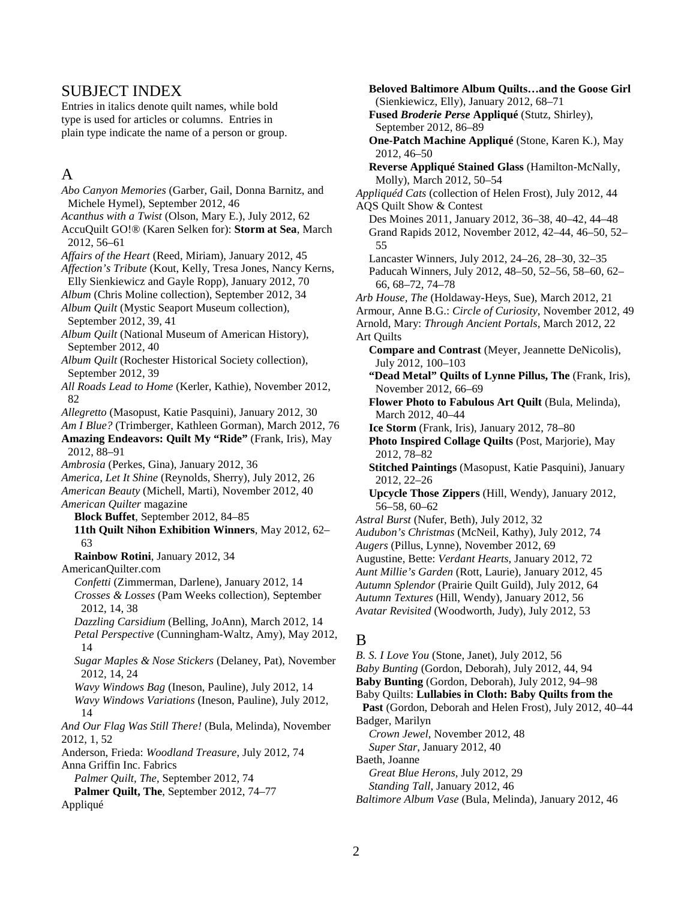#### SUBJECT INDEX

Entries in italics denote quilt names, while bold type is used for articles or columns. Entries in plain type indicate the name of a person or group.

## A

*Abo Canyon Memories* (Garber, Gail, Donna Barnitz, and Michele Hymel), September 2012, 46 *Acanthus with a Twist* (Olson, Mary E.), July 2012, 62 AccuQuilt GO!® (Karen Selken for): **Storm at Sea**, March 2012, 56–61 *Affairs of the Heart* (Reed, Miriam), January 2012, 45 *Affection's Tribute* (Kout, Kelly, Tresa Jones, Nancy Kerns, Elly Sienkiewicz and Gayle Ropp), January 2012, 70 *Album* (Chris Moline collection), September 2012, 34 *Album Quilt* (Mystic Seaport Museum collection), September 2012, 39, 41 *Album Quilt* (National Museum of American History), September 2012, 40 *Album Quilt* (Rochester Historical Society collection), September 2012, 39 *All Roads Lead to Home* (Kerler, Kathie), November 2012, 82 *Allegretto* (Masopust, Katie Pasquini), January 2012, 30 *Am I Blue?* (Trimberger, Kathleen Gorman), March 2012, 76 **Amazing Endeavors: Quilt My "Ride"** (Frank, Iris), May 2012, 88–91 *Ambrosia* (Perkes, Gina), January 2012, 36 *America, Let It Shine* (Reynolds, Sherry), July 2012, 26 *American Beauty* (Michell, Marti), November 2012, 40 *American Quilter* magazine **Block Buffet**, September 2012, 84–85 **11th Quilt Nihon Exhibition Winners**, May 2012, 62– 63 **Rainbow Rotini**, January 2012, 34 AmericanQuilter.com *Confetti* (Zimmerman, Darlene), January 2012, 14 *Crosses & Losses* (Pam Weeks collection), September 2012, 14, 38 *Dazzling Carsidium* (Belling, JoAnn), March 2012, 14 *Petal Perspective* (Cunningham-Waltz, Amy), May 2012, 14 *Sugar Maples & Nose Stickers* (Delaney, Pat), November 2012, 14, 24 *Wavy Windows Bag* (Ineson, Pauline), July 2012, 14 *Wavy Windows Variations* (Ineson, Pauline), July 2012, 14 *And Our Flag Was Still There!* (Bula, Melinda), November 2012, 1, 52 Anderson, Frieda: *Woodland Treasure*, July 2012, 74 Anna Griffin Inc. Fabrics *Palmer Quilt, The*, September 2012, 74 **Palmer Quilt, The**, September 2012, 74–77 Appliqué

**Beloved Baltimore Album Quilts…and the Goose Girl** (Sienkiewicz, Elly), January 2012, 68–71 **Fused** *Broderie Perse* **Appliqué** (Stutz, Shirley), September 2012, 86–89 **One-Patch Machine Appliqué** (Stone, Karen K.), May 2012, 46–50 **Reverse Appliqué Stained Glass** (Hamilton-McNally, Molly), March 2012, 50–54 *Appliquéd Cats* (collection of Helen Frost), July 2012, 44 AQS Quilt Show & Contest Des Moines 2011, January 2012, 36–38, 40–42, 44–48 Grand Rapids 2012, November 2012, 42–44, 46–50, 52– 55 Lancaster Winners, July 2012, 24–26, 28–30, 32–35 Paducah Winners, July 2012, 48–50, 52–56, 58–60, 62– 66, 68–72, 74–78 *Arb House, The* (Holdaway-Heys, Sue), March 2012, 21 Armour, Anne B.G.: *Circle of Curiosity*, November 2012, 49 Arnold, Mary: *Through Ancient Portals*, March 2012, 22 Art Quilts **Compare and Contrast** (Meyer, Jeannette DeNicolis), July 2012, 100–103 **"Dead Metal" Quilts of Lynne Pillus, The** (Frank, Iris), November 2012, 66–69 **Flower Photo to Fabulous Art Quilt** (Bula, Melinda), March 2012, 40–44 **Ice Storm** (Frank, Iris), January 2012, 78–80 **Photo Inspired Collage Quilts** (Post, Marjorie), May 2012, 78–82 **Stitched Paintings** (Masopust, Katie Pasquini), January 2012, 22–26 **Upcycle Those Zippers** (Hill, Wendy), January 2012, 56–58, 60–62 *Astral Burst* (Nufer, Beth), July 2012, 32 *Audubon's Christmas* (McNeil, Kathy), July 2012, 74 *Augers* (Pillus, Lynne), November 2012, 69 Augustine, Bette: *Verdant Hearts*, January 2012, 72 *Aunt Millie's Garden* (Rott, Laurie), January 2012, 45 *Autumn Splendor* (Prairie Quilt Guild), July 2012, 64 *Autumn Textures* (Hill, Wendy), January 2012, 56 *Avatar Revisited* (Woodworth, Judy), July 2012, 53 B *B. S. I Love You* (Stone, Janet), July 2012, 56

*Baby Bunting* (Gordon, Deborah), July 2012, 44, 94

**Baby Bunting** (Gordon, Deborah), July 2012, 94–98

Baby Quilts: **Lullabies in Cloth: Baby Quilts from the Past** (Gordon, Deborah and Helen Frost), July 2012, 40–44

Badger, Marilyn *Crown Jewel*, November 2012, 48

*Super Star*, January 2012, 40

Baeth, Joanne

*Great Blue Herons*, July 2012, 29

*Standing Tall*, January 2012, 46

*Baltimore Album Vase* (Bula, Melinda), January 2012, 46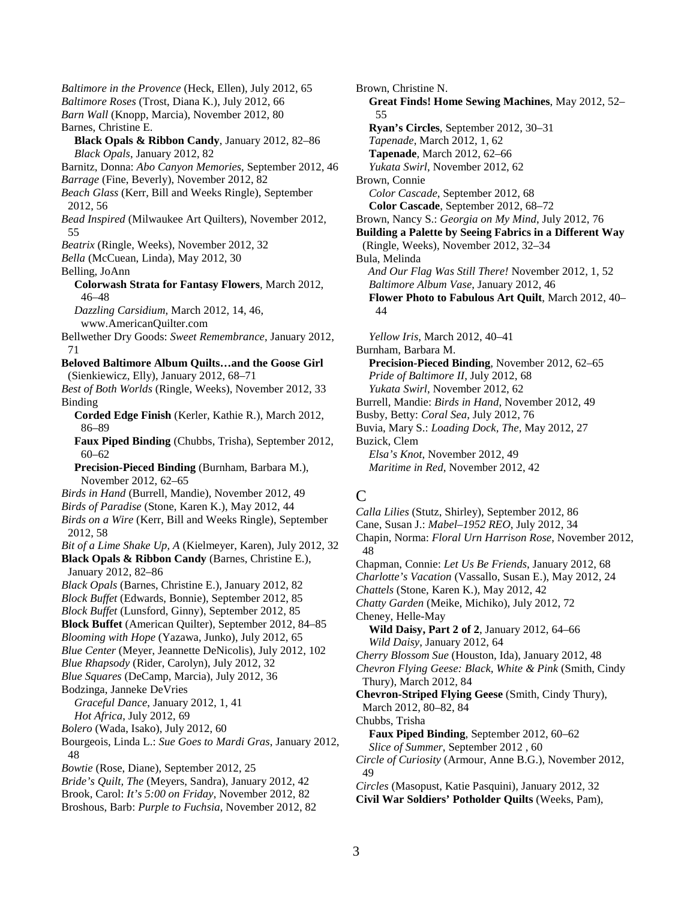*Baltimore in the Provence* (Heck, Ellen), July 2012, 65 *Baltimore Roses* (Trost, Diana K.), July 2012, 66 *Barn Wall* (Knopp, Marcia), November 2012, 80 Barnes, Christine E. **Black Opals & Ribbon Candy**, January 2012, 82–86 *Black Opals*, January 2012, 82 Barnitz, Donna: *Abo Canyon Memories*, September 2012, 46 *Barrage* (Fine, Beverly), November 2012, 82 *Beach Glass* (Kerr, Bill and Weeks Ringle), September 2012, 56 *Bead Inspired* (Milwaukee Art Quilters), November 2012, 55 *Beatrix* (Ringle, Weeks), November 2012, 32 *Bella* (McCuean, Linda), May 2012, 30 Belling, JoAnn **Colorwash Strata for Fantasy Flowers**, March 2012, 46–48 *Dazzling Carsidium*, March 2012, 14, 46, www.AmericanQuilter.com Bellwether Dry Goods: *Sweet Remembrance*, January 2012, 71 **Beloved Baltimore Album Quilts…and the Goose Girl** (Sienkiewicz, Elly), January 2012, 68–71 *Best of Both Worlds* (Ringle, Weeks), November 2012, 33 Binding **Corded Edge Finish** (Kerler, Kathie R.), March 2012, 86–89 **Faux Piped Binding** (Chubbs, Trisha), September 2012, 60–62 **Precision-Pieced Binding** (Burnham, Barbara M.), November 2012, 62–65 *Birds in Hand* (Burrell, Mandie), November 2012, 49 *Birds of Paradise* (Stone, Karen K.), May 2012, 44 *Birds on a Wire* (Kerr, Bill and Weeks Ringle), September 2012, 58 *Bit of a Lime Shake Up, A* (Kielmeyer, Karen), July 2012, 32 **Black Opals & Ribbon Candy** (Barnes, Christine E.), January 2012, 82–86 *Black Opals* (Barnes, Christine E.), January 2012, 82 *Block Buffet* (Edwards, Bonnie), September 2012, 85 *Block Buffet* (Lunsford, Ginny), September 2012, 85 **Block Buffet** (American Quilter), September 2012, 84–85 *Blooming with Hope* (Yazawa, Junko), July 2012, 65 *Blue Center* (Meyer, Jeannette DeNicolis), July 2012, 102 *Blue Rhapsody* (Rider, Carolyn), July 2012, 32 *Blue Squares* (DeCamp, Marcia), July 2012, 36 Bodzinga, Janneke DeVries *Graceful Dance*, January 2012, 1, 41 *Hot Africa*, July 2012, 69 *Bolero* (Wada, Isako), July 2012, 60 Bourgeois, Linda L.: *Sue Goes to Mardi Gras*, January 2012, 48 *Bowtie* (Rose, Diane), September 2012, 25 *Bride's Quilt, The* (Meyers, Sandra), January 2012, 42 Brook, Carol: *It's 5:00 on Friday*, November 2012, 82 Broshous, Barb: *Purple to Fuchsia*, November 2012, 82

Brown, Christine N. **Great Finds! Home Sewing Machines**, May 2012, 52– 55 **Ryan's Circles**, September 2012, 30–31 *Tapenade*, March 2012, 1, 62 **Tapenade**, March 2012, 62–66 *Yukata Swirl*, November 2012, 62 Brown, Connie *Color Cascade*, September 2012, 68 **Color Cascade**, September 2012, 68–72 Brown, Nancy S.: *Georgia on My Mind*, July 2012, 76 **Building a Palette by Seeing Fabrics in a Different Way** (Ringle, Weeks), November 2012, 32–34 Bula, Melinda *And Our Flag Was Still There!* November 2012, 1, 52 *Baltimore Album Vase*, January 2012, 46 **Flower Photo to Fabulous Art Quilt**, March 2012, 40– 44 *Yellow Iris*, March 2012, 40–41 Burnham, Barbara M. **Precision-Pieced Binding**, November 2012, 62–65 *Pride of Baltimore II*, July 2012, 68 *Yukata Swirl*, November 2012, 62 Burrell, Mandie: *Birds in Hand*, November 2012, 49 Busby, Betty: *Coral Sea*, July 2012, 76 Buvia, Mary S.: *Loading Dock, The*, May 2012, 27 Buzick, Clem *Elsa's Knot*, November 2012, 49 *Maritime in Red*, November 2012, 42

### $\mathcal{C}$

*Calla Lilies* (Stutz, Shirley), September 2012, 86 Cane, Susan J.: *Mabel*–*1952 REO*, July 2012, 34 Chapin, Norma: *Floral Urn Harrison Rose*, November 2012, 48 Chapman, Connie: *Let Us Be Friends*, January 2012, 68 *Charlotte's Vacation* (Vassallo, Susan E.), May 2012, 24 *Chattels* (Stone, Karen K.), May 2012, 42 *Chatty Garden* (Meike, Michiko), July 2012, 72 Cheney, Helle-May **Wild Daisy, Part 2 of 2**, January 2012, 64–66 *Wild Daisy*, January 2012, 64 *Cherry Blossom Sue* (Houston, Ida), January 2012, 48 *Chevron Flying Geese: Black, White & Pink* (Smith, Cindy Thury), March 2012, 84 **Chevron-Striped Flying Geese** (Smith, Cindy Thury), March 2012, 80–82, 84 Chubbs, Trisha **Faux Piped Binding**, September 2012, 60–62 *Slice of Summer*, September 2012 , 60 *Circle of Curiosity* (Armour, Anne B.G.), November 2012, 49 *Circles* (Masopust, Katie Pasquini), January 2012, 32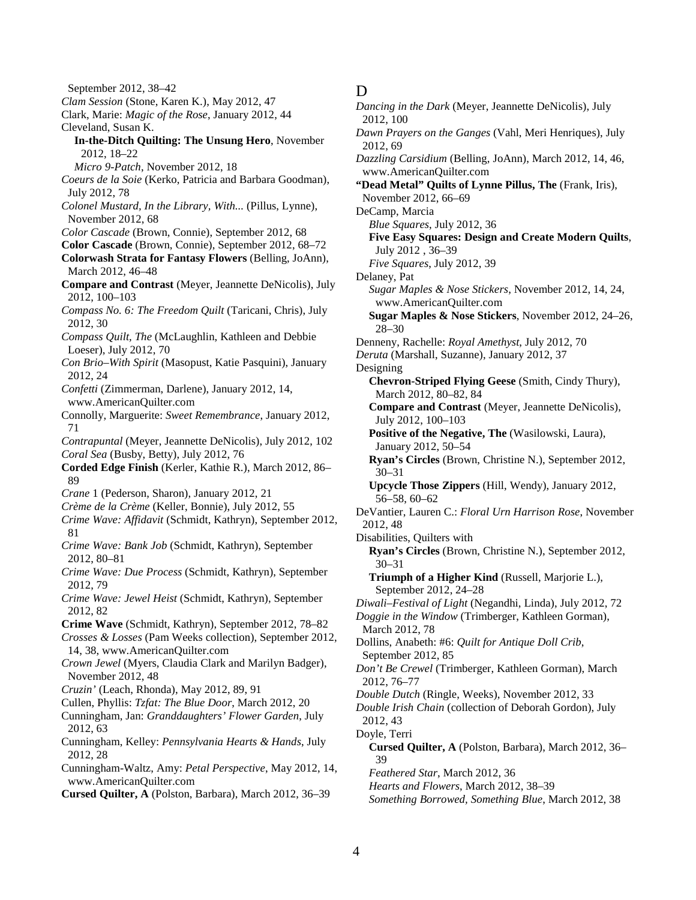September 2012, 38–42 *Clam Session* (Stone, Karen K.), May 2012, 47 Clark, Marie: *Magic of the Rose*, January 2012, 44 Cleveland, Susan K. **In-the-Ditch Quilting: The Unsung Hero**, November 2012, 18–22 *Micro 9-Patch*, November 2012, 18 *Coeurs de la Soie* (Kerko, Patricia and Barbara Goodman), July 2012, 78 *Colonel Mustard, In the Library, With...* (Pillus, Lynne), November 2012, 68 *Color Cascade* (Brown, Connie), September 2012, 68 **Color Cascade** (Brown, Connie), September 2012, 68–72 **Colorwash Strata for Fantasy Flowers** (Belling, JoAnn), March 2012, 46–48 **Compare and Contrast** (Meyer, Jeannette DeNicolis), July 2012, 100–103 *Compass No. 6: The Freedom Quilt* (Taricani, Chris), July 2012, 30 *Compass Quilt, The* (McLaughlin, Kathleen and Debbie Loeser), July 2012, 70 *Con Brio–With Spirit* (Masopust, Katie Pasquini), January 2012, 24 *Confetti* (Zimmerman, Darlene), January 2012, 14, www.AmericanQuilter.com Connolly, Marguerite: *Sweet Remembrance*, January 2012, 71 *Contrapuntal* (Meyer, Jeannette DeNicolis), July 2012, 102 *Coral Sea* (Busby, Betty), July 2012, 76 **Corded Edge Finish** (Kerler, Kathie R.), March 2012, 86– 89 *Crane* 1 (Pederson, Sharon), January 2012, 21 *Crème de la Crème* (Keller, Bonnie), July 2012, 55 *Crime Wave: Affidavit* (Schmidt, Kathryn), September 2012, 81 *Crime Wave: Bank Job* (Schmidt, Kathryn), September 2012, 80–81 *Crime Wave: Due Process* (Schmidt, Kathryn), September 2012, 79 *Crime Wave: Jewel Heist* (Schmidt, Kathryn), September 2012, 82 **Crime Wave** (Schmidt, Kathryn), September 2012, 78–82 *Crosses & Losses* (Pam Weeks collection), September 2012, 14, 38, www.AmericanQuilter.com *Crown Jewel* (Myers, Claudia Clark and Marilyn Badger), November 2012, 48 *Cruzin'* (Leach, Rhonda), May 2012, 89, 91 Cullen, Phyllis: *Tzfat: The Blue Door*, March 2012, 20 Cunningham, Jan: *Granddaughters' Flower Garden*, July 2012, 63 Cunningham, Kelley: *Pennsylvania Hearts & Hands*, July 2012, 28 Cunningham-Waltz, Amy: *Petal Perspective*, May 2012, 14, www.AmericanQuilter.com **Cursed Quilter, A** (Polston, Barbara), March 2012, 36–39

## D

*Dancing in the Dark* (Meyer, Jeannette DeNicolis), July 2012, 100 *Dawn Prayers on the Ganges* (Vahl, Meri Henriques), July 2012, 69 *Dazzling Carsidium* (Belling, JoAnn), March 2012, 14, 46, www.AmericanQuilter.com **"Dead Metal" Quilts of Lynne Pillus, The** (Frank, Iris), November 2012, 66–69 DeCamp, Marcia *Blue Squares*, July 2012, 36 **Five Easy Squares: Design and Create Modern Quilts**, July 2012 , 36–39 *Five Squares*, July 2012, 39 Delaney, Pat *Sugar Maples & Nose Stickers*, November 2012, 14, 24, www.AmericanQuilter.com **Sugar Maples & Nose Stickers**, November 2012, 24–26, 28–30 Denneny, Rachelle: *Royal Amethyst*, July 2012, 70 *Deruta* (Marshall, Suzanne), January 2012, 37 Designing **Chevron-Striped Flying Geese** (Smith, Cindy Thury), March 2012, 80–82, 84 **Compare and Contrast** (Meyer, Jeannette DeNicolis), July 2012, 100–103 **Positive of the Negative, The** (Wasilowski, Laura), January 2012, 50–54 **Ryan's Circles** (Brown, Christine N.), September 2012, 30–31 **Upcycle Those Zippers** (Hill, Wendy), January 2012, 56–58, 60–62 DeVantier, Lauren C.: *Floral Urn Harrison Rose*, November 2012, 48 Disabilities, Quilters with **Ryan's Circles** (Brown, Christine N.), September 2012, 30–31 **Triumph of a Higher Kind** (Russell, Marjorie L.), September 2012, 24–28 *Diwali–Festival of Light* (Negandhi, Linda), July 2012, 72 *Doggie in the Window* (Trimberger, Kathleen Gorman), March 2012, 78 Dollins, Anabeth: #6: *Quilt for Antique Doll Crib*, September 2012, 85 *Don't Be Crewel* (Trimberger, Kathleen Gorman), March 2012, 76–77 *Double Dutch* (Ringle, Weeks), November 2012, 33 *Double Irish Chain* (collection of Deborah Gordon), July 2012, 43 Doyle, Terri **Cursed Quilter, A** (Polston, Barbara), March 2012, 36– 39 *Feathered Star*, March 2012, 36 *Hearts and Flowers*, March 2012, 38–39 *Something Borrowed, Something Blue*, March 2012, 38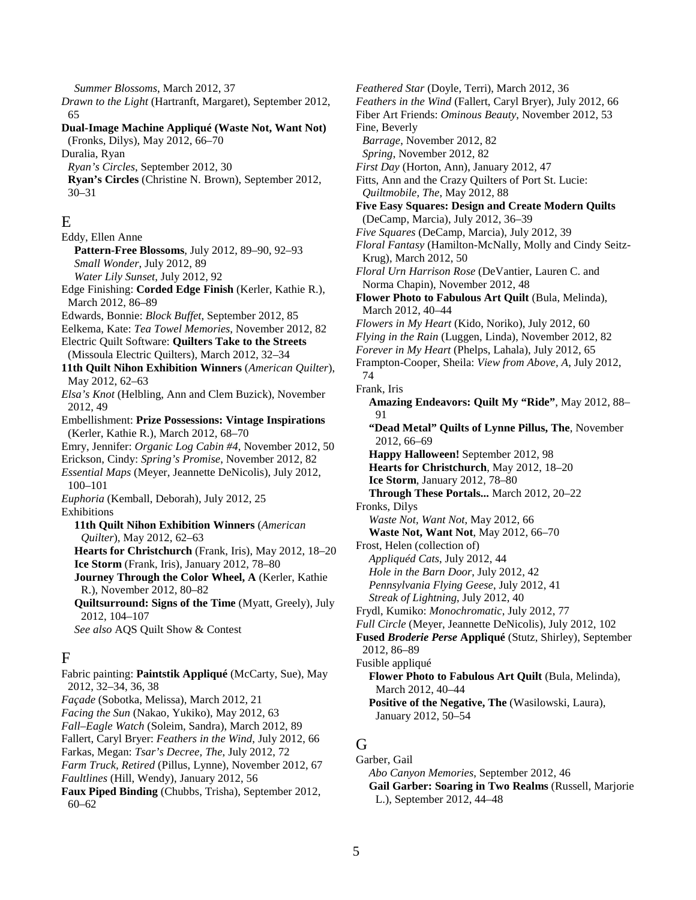*Summer Blossoms*, March 2012, 37 *Drawn to the Light* (Hartranft, Margaret), September 2012, 65 **Dual-Image Machine Appliqué (Waste Not, Want Not)** (Fronks, Dilys), May 2012, 66–70 Duralia, Ryan *Ryan's Circles*, September 2012, 30 **Ryan's Circles** (Christine N. Brown), September 2012, 30–31 E Eddy, Ellen Anne **Pattern-Free Blossoms**, July 2012, 89–90, 92–93 *Small Wonder*, July 2012, 89 *Water Lily Sunset*, July 2012, 92 Edge Finishing: **Corded Edge Finish** (Kerler, Kathie R.), March 2012, 86–89 Edwards, Bonnie: *Block Buffet*, September 2012, 85 Eelkema, Kate: *Tea Towel Memories*, November 2012, 82 Electric Quilt Software: **Quilters Take to the Streets** (Missoula Electric Quilters), March 2012, 32–34 **11th Quilt Nihon Exhibition Winners** (*American Quilter*), May 2012, 62–63 *Elsa's Knot* (Helbling, Ann and Clem Buzick), November 2012, 49 Embellishment: **Prize Possessions: Vintage Inspirations** (Kerler, Kathie R.), March 2012, 68–70 Emry, Jennifer: *Organic Log Cabin #4*, November 2012, 50 Erickson, Cindy: *Spring's Promise*, November 2012, 82 *Essential Maps* (Meyer, Jeannette DeNicolis), July 2012, 100–101 *Euphoria* (Kemball, Deborah), July 2012, 25 Exhibitions **11th Quilt Nihon Exhibition Winners** (*American Quilter*), May 2012, 62–63 **Hearts for Christchurch** (Frank, Iris), May 2012, 18–20 **Ice Storm** (Frank, Iris), January 2012, 78–80 **Journey Through the Color Wheel, A** (Kerler, Kathie R.), November 2012, 80–82 **Quiltsurround: Signs of the Time** (Myatt, Greely), July 2012, 104–107 *See also* AQS Quilt Show & Contest F Fabric painting: **Paintstik Appliqué** (McCarty, Sue), May 2012, 32–34, 36, 38 *Façade* (Sobotka, Melissa), March 2012, 21

- *Facing the Sun* (Nakao, Yukiko), May 2012, 63
- *Fall–Eagle Watch* (Soleim, Sandra), March 2012, 89
- Fallert, Caryl Bryer: *Feathers in the Wind*, July 2012, 66
- Farkas, Megan: *Tsar's Decree, The*, July 2012, 72
- *Farm Truck, Retired* (Pillus, Lynne), November 2012, 67

*Faultlines* (Hill, Wendy), January 2012, 56

**Faux Piped Binding** (Chubbs, Trisha), September 2012, 60–62

*Feathered Star* (Doyle, Terri), March 2012, 36 *Feathers in the Wind* (Fallert, Caryl Bryer), July 2012, 66 Fiber Art Friends: *Ominous Beauty*, November 2012, 53 Fine, Beverly *Barrage*, November 2012, 82 *Spring*, November 2012, 82 *First Day* (Horton, Ann), January 2012, 47 Fitts, Ann and the Crazy Quilters of Port St. Lucie: *Quiltmobile, The*, May 2012, 88 **Five Easy Squares: Design and Create Modern Quilts**  (DeCamp, Marcia), July 2012, 36–39 *Five Squares* (DeCamp, Marcia), July 2012, 39 *Floral Fantasy* (Hamilton-McNally, Molly and Cindy Seitz-Krug), March 2012, 50 *Floral Urn Harrison Rose* (DeVantier, Lauren C. and Norma Chapin), November 2012, 48 **Flower Photo to Fabulous Art Quilt** (Bula, Melinda), March 2012, 40–44 *Flowers in My Heart* (Kido, Noriko), July 2012, 60 *Flying in the Rain* (Luggen, Linda), November 2012, 82 *Forever in My Heart* (Phelps, Lahala), July 2012, 65 Frampton-Cooper, Sheila: *View from Above, A*, July 2012, 74 Frank, Iris **Amazing Endeavors: Quilt My "Ride"**, May 2012, 88– 91 **"Dead Metal" Quilts of Lynne Pillus, The**, November 2012, 66–69 **Happy Halloween!** September 2012, 98 **Hearts for Christchurch**, May 2012, 18–20 **Ice Storm**, January 2012, 78–80 **Through These Portals...** March 2012, 20–22 Fronks, Dilys *Waste Not, Want Not*, May 2012, 66 **Waste Not, Want Not**, May 2012, 66–70 Frost, Helen (collection of) *Appliquéd Cats*, July 2012, 44 *Hole in the Barn Door*, July 2012, 42 *Pennsylvania Flying Geese*, July 2012, 41 *Streak of Lightning*, July 2012, 40 Frydl, Kumiko: *Monochromatic*, July 2012, 77 *Full Circle* (Meyer, Jeannette DeNicolis), July 2012, 102 **Fused** *Broderie Perse* **Appliqué** (Stutz, Shirley), September 2012, 86–89 Fusible appliqué **Flower Photo to Fabulous Art Quilt** (Bula, Melinda), March 2012, 40–44 **Positive of the Negative, The** (Wasilowski, Laura), January 2012, 50–54

## G

Garber, Gail

*Abo Canyon Memories*, September 2012, 46

**Gail Garber: Soaring in Two Realms** (Russell, Marjorie L.), September 2012, 44–48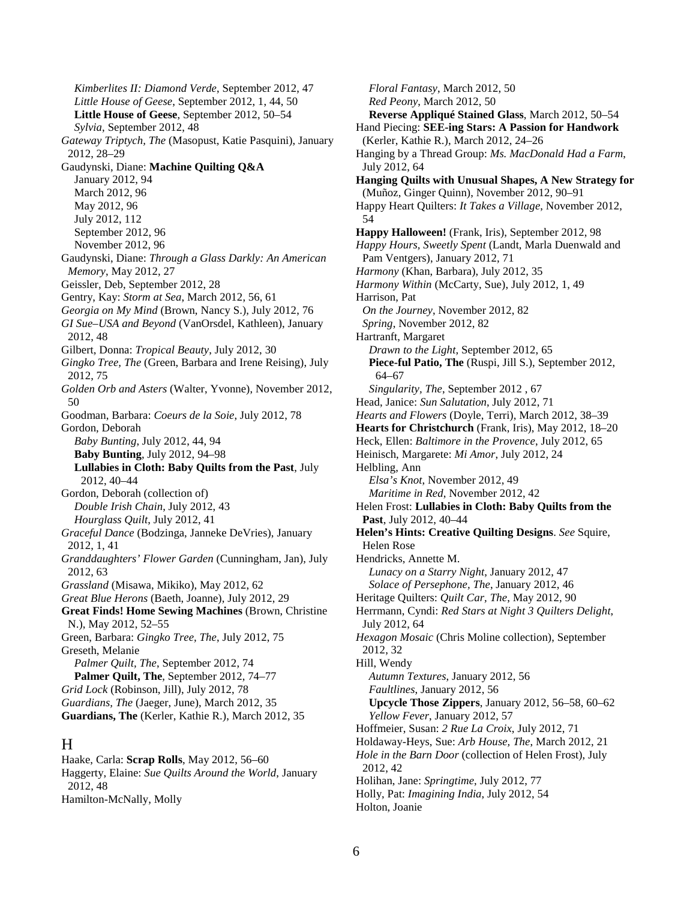*Kimberlites II: Diamond Verde*, September 2012, 47 *Little House of Geese*, September 2012, 1, 44, 50 **Little House of Geese**, September 2012, 50–54 *Sylvia*, September 2012, 48 *Gateway Triptych, The* (Masopust, Katie Pasquini), January 2012, 28–29 Gaudynski, Diane: **Machine Quilting Q&A** January 2012, 94 March 2012, 96 May 2012, 96 July 2012, 112 September 2012, 96 November 2012, 96 Gaudynski, Diane: *Through a Glass Darkly: An American Memory*, May 2012, 27 Geissler, Deb, September 2012, 28 Gentry, Kay: *Storm at Sea*, March 2012, 56, 61 *Georgia on My Mind* (Brown, Nancy S.), July 2012, 76 *GI Sue–USA and Beyond* (VanOrsdel, Kathleen), January 2012, 48 Gilbert, Donna: *Tropical Beauty*, July 2012, 30 *Gingko Tree, The* (Green, Barbara and Irene Reising), July 2012, 75 *Golden Orb and Asters* (Walter, Yvonne), November 2012, 50 Goodman, Barbara: *Coeurs de la Soie*, July 2012, 78 Gordon, Deborah *Baby Bunting*, July 2012, 44, 94 **Baby Bunting**, July 2012, 94–98 **Lullabies in Cloth: Baby Quilts from the Past**, July 2012, 40–44 Gordon, Deborah (collection of) *Double Irish Chain*, July 2012, 43 *Hourglass Quilt*, July 2012, 41 *Graceful Dance* (Bodzinga, Janneke DeVries), January 2012, 1, 41 *Granddaughters' Flower Garden* (Cunningham, Jan), July 2012, 63 *Grassland* (Misawa, Mikiko), May 2012, 62 *Great Blue Herons* (Baeth, Joanne), July 2012, 29 **Great Finds! Home Sewing Machines** (Brown, Christine N.), May 2012, 52–55 Green, Barbara: *Gingko Tree, The*, July 2012, 75 Greseth, Melanie *Palmer Quilt, The*, September 2012, 74 **Palmer Quilt, The**, September 2012, 74–77 *Grid Lock* (Robinson, Jill), July 2012, 78 *Guardians, The* (Jaeger, June), March 2012, 35 **Guardians, The** (Kerler, Kathie R.), March 2012, 35 H

Haake, Carla: **Scrap Rolls**, May 2012, 56–60 Haggerty, Elaine: *Sue Quilts Around the World*, January 2012, 48 Hamilton-McNally, Molly

*Floral Fantasy*, March 2012, 50 *Red Peony*, March 2012, 50 **Reverse Appliqué Stained Glass**, March 2012, 50–54 Hand Piecing: **SEE-ing Stars: A Passion for Handwork** (Kerler, Kathie R.), March 2012, 24–26 Hanging by a Thread Group: *Ms. MacDonald Had a Farm*, July 2012, 64 **Hanging Quilts with Unusual Shapes, A New Strategy for**  (Muñoz, Ginger Quinn), November 2012, 90–91 Happy Heart Quilters: *It Takes a Village*, November 2012, 54 **Happy Halloween!** (Frank, Iris), September 2012, 98 *Happy Hours, Sweetly Spent* (Landt, Marla Duenwald and Pam Ventgers), January 2012, 71 *Harmony* (Khan, Barbara), July 2012, 35 *Harmony Within* (McCarty, Sue), July 2012, 1, 49 Harrison, Pat *On the Journey*, November 2012, 82 *Spring*, November 2012, 82 Hartranft, Margaret *Drawn to the Light*, September 2012, 65 **Piece-ful Patio, The** (Ruspi, Jill S.), September 2012, 64–67 *Singularity, The*, September 2012 , 67 Head, Janice: *Sun Salutation*, July 2012, 71 *Hearts and Flowers* (Doyle, Terri), March 2012, 38–39 **Hearts for Christchurch** (Frank, Iris), May 2012, 18–20 Heck, Ellen: *Baltimore in the Provence*, July 2012, 65 Heinisch, Margarete: *Mi Amor*, July 2012, 24 Helbling, Ann *Elsa's Knot*, November 2012, 49 *Maritime in Red*, November 2012, 42 Helen Frost: **Lullabies in Cloth: Baby Quilts from the Past**, July 2012, 40–44 **Helen's Hints: Creative Quilting Designs**. *See* Squire, Helen Rose Hendricks, Annette M. *Lunacy on a Starry Night*, January 2012, 47 *Solace of Persephone, The*, January 2012, 46 Heritage Quilters: *Quilt Car, The*, May 2012, 90 Herrmann, Cyndi: *Red Stars at Night 3 Quilters Delight*, July 2012, 64 *Hexagon Mosaic* (Chris Moline collection), September 2012, 32 Hill, Wendy *Autumn Textures*, January 2012, 56 *Faultlines*, January 2012, 56 **Upcycle Those Zippers**, January 2012, 56–58, 60–62 *Yellow Fever*, January 2012, 57 Hoffmeier, Susan: *2 Rue La Croix*, July 2012, 71 Holdaway-Heys, Sue: *Arb House, The*, March 2012, 21 *Hole in the Barn Door* (collection of Helen Frost), July 2012, 42 Holihan, Jane: *Springtime*, July 2012, 77 Holly, Pat: *Imagining India*, July 2012, 54 Holton, Joanie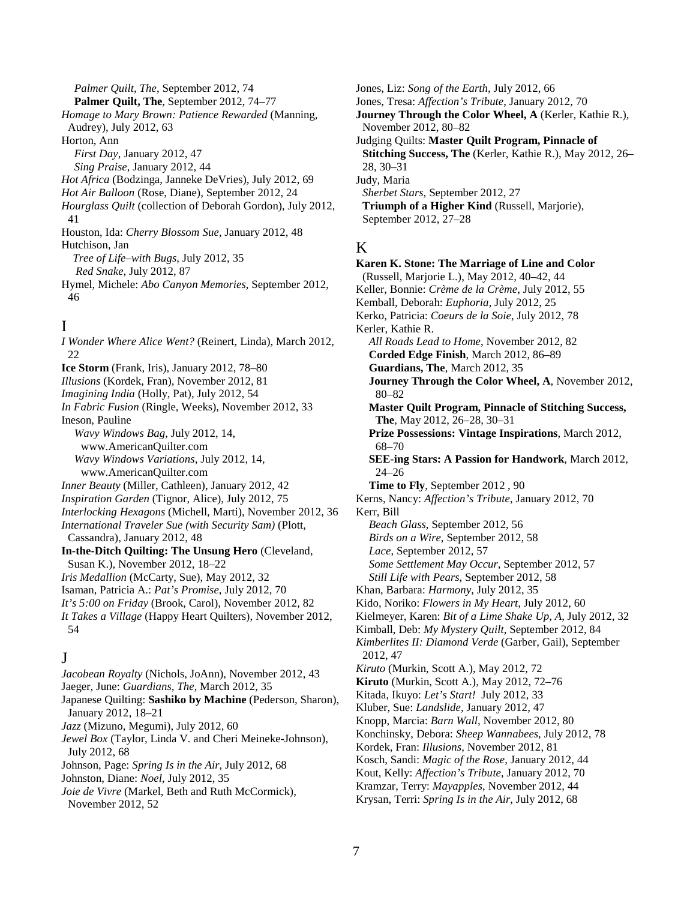*Palmer Quilt, The*, September 2012, 74 **Palmer Quilt, The**, September 2012, 74–77 *Homage to Mary Brown: Patience Rewarded* (Manning, Audrey), July 2012, 63 Horton, Ann *First Day*, January 2012, 47 *Sing Praise*, January 2012, 44 *Hot Africa* (Bodzinga, Janneke DeVries), July 2012, 69 *Hot Air Balloon* (Rose, Diane), September 2012, 24 *Hourglass Quilt* (collection of Deborah Gordon), July 2012, 41 Houston, Ida: *Cherry Blossom Sue*, January 2012, 48 Hutchison, Jan *Tree of Life–with Bugs*, July 2012, 35 *Red Snake*, July 2012, 87 Hymel, Michele: *Abo Canyon Memories*, September 2012, 46

## I

*I Wonder Where Alice Went?* (Reinert, Linda), March 2012, 22 **Ice Storm** (Frank, Iris), January 2012, 78–80 *Illusions* (Kordek, Fran), November 2012, 81 *Imagining India* (Holly, Pat), July 2012, 54 *In Fabric Fusion* (Ringle, Weeks), November 2012, 33 Ineson, Pauline *Wavy Windows Bag*, July 2012, 14, www.AmericanQuilter.com *Wavy Windows Variations*, July 2012, 14, www.AmericanQuilter.com *Inner Beauty* (Miller, Cathleen), January 2012, 42 *Inspiration Garden* (Tignor, Alice), July 2012, 75 *Interlocking Hexagons* (Michell, Marti), November 2012, 36 *International Traveler Sue (with Security Sam)* (Plott, Cassandra), January 2012, 48 **In-the-Ditch Quilting: The Unsung Hero** (Cleveland, Susan K.), November 2012, 18–22 *Iris Medallion* (McCarty, Sue), May 2012, 32 Isaman, Patricia A.: *Pat's Promise*, July 2012, 70 *It's 5:00 on Friday* (Brook, Carol), November 2012, 82 *It Takes a Village* (Happy Heart Quilters), November 2012, 54  $\mathbf{J}$ *Jacobean Royalty* (Nichols, JoAnn), November 2012, 43 Jaeger, June: *Guardians, The*, March 2012, 35 Japanese Quilting: **Sashiko by Machine** (Pederson, Sharon), January 2012, 18–21 *Jazz* (Mizuno, Megumi), July 2012, 60 *Jewel Box* (Taylor, Linda V. and Cheri Meineke-Johnson), July 2012, 68 Johnson, Page: *Spring Is in the Air*, July 2012, 68 Johnston, Diane: *Noel*, July 2012, 35 *Joie de Vivre* (Markel, Beth and Ruth McCormick), November 2012, 52

Jones, Liz: *Song of the Earth*, July 2012, 66 Jones, Tresa: *Affection's Tribute*, January 2012, 70 **Journey Through the Color Wheel, A** (Kerler, Kathie R.), November 2012, 80–82 Judging Quilts: **Master Quilt Program, Pinnacle of Stitching Success, The** (Kerler, Kathie R.), May 2012, 26– 28, 30–31 Judy, Maria *Sherbet Stars*, September 2012, 27 **Triumph of a Higher Kind** (Russell, Marjorie), September 2012, 27–28

## K

**Karen K. Stone: The Marriage of Line and Color** (Russell, Marjorie L.), May 2012, 40–42, 44 Keller, Bonnie: *Crème de la Crème*, July 2012, 55 Kemball, Deborah: *Euphoria*, July 2012, 25 Kerko, Patricia: *Coeurs de la Soie*, July 2012, 78 Kerler, Kathie R. *All Roads Lead to Home*, November 2012, 82 **Corded Edge Finish**, March 2012, 86–89 **Guardians, The**, March 2012, 35 **Journey Through the Color Wheel, A**, November 2012, 80–82 **Master Quilt Program, Pinnacle of Stitching Success, The**, May 2012, 26–28, 30–31 **Prize Possessions: Vintage Inspirations**, March 2012, 68–70 **SEE-ing Stars: A Passion for Handwork**, March 2012, 24–26 **Time to Fly**, September 2012 , 90 Kerns, Nancy: *Affection's Tribute*, January 2012, 70 Kerr, Bill *Beach Glass*, September 2012, 56 *Birds on a Wire*, September 2012, 58 *Lace*, September 2012, 57 *Some Settlement May Occur*, September 2012, 57 *Still Life with Pears*, September 2012, 58 Khan, Barbara: *Harmony*, July 2012, 35 Kido, Noriko: *Flowers in My Heart*, July 2012, 60 Kielmeyer, Karen: *Bit of a Lime Shake Up, A*, July 2012, 32 Kimball, Deb: *My Mystery Quilt*, September 2012, 84 *Kimberlites II: Diamond Verde* (Garber, Gail), September 2012, 47 *Kiruto* (Murkin, Scott A.), May 2012, 72 **Kiruto** (Murkin, Scott A.), May 2012, 72–76 Kitada, Ikuyo: *Let's Start!* July 2012, 33 Kluber, Sue: *Landslide*, January 2012, 47 Knopp, Marcia: *Barn Wall*, November 2012, 80 Konchinsky, Debora: *Sheep Wannabees*, July 2012, 78 Kordek, Fran: *Illusions*, November 2012, 81 Kosch, Sandi: *Magic of the Rose*, January 2012, 44 Kout, Kelly: *Affection's Tribute*, January 2012, 70 Kramzar, Terry: *Mayapples*, November 2012, 44 Krysan, Terri: *Spring Is in the Air*, July 2012, 68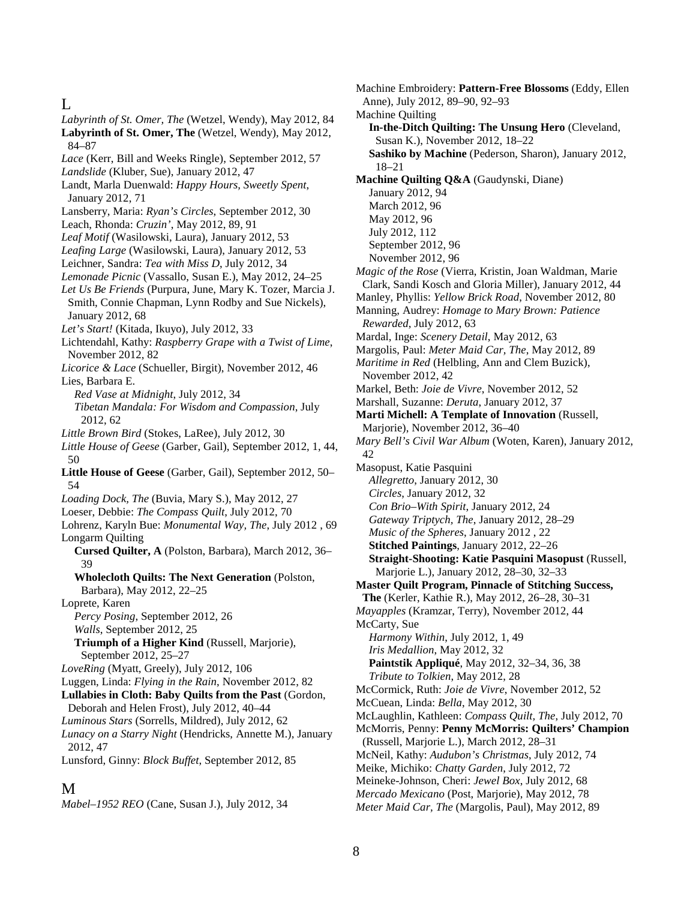# $\mathbf{L}$

*Labyrinth of St. Omer, The* (Wetzel, Wendy), May 2012, 84

**Labyrinth of St. Omer, The** (Wetzel, Wendy), May 2012, 84–87

- *Lace* (Kerr, Bill and Weeks Ringle), September 2012, 57
- *Landslide* (Kluber, Sue), January 2012, 47
- Landt, Marla Duenwald: *Happy Hours, Sweetly Spent*, January 2012, 71
- Lansberry, Maria: *Ryan's Circles*, September 2012, 30
- Leach, Rhonda: *Cruzin'*, May 2012, 89, 91
- *Leaf Motif* (Wasilowski, Laura), January 2012, 53
- *Leafing Large* (Wasilowski, Laura), January 2012, 53
- Leichner, Sandra: *Tea with Miss D*, July 2012, 34
- *Lemonade Picnic* (Vassallo, Susan E.), May 2012, 24–25
- *Let Us Be Friends* (Purpura, June, Mary K. Tozer, Marcia J. Smith, Connie Chapman, Lynn Rodby and Sue Nickels), January 2012, 68
- *Let's Start!* (Kitada, Ikuyo), July 2012, 33
- Lichtendahl, Kathy: *Raspberry Grape with a Twist of Lime*, November 2012, 82
- *Licorice & Lace* (Schueller, Birgit), November 2012, 46 Lies, Barbara E.
	- *Red Vase at Midnight*, July 2012, 34
	- *Tibetan Mandala: For Wisdom and Compassion*, July 2012, 62
- *Little Brown Bird* (Stokes, LaRee), July 2012, 30
- *Little House of Geese* (Garber, Gail), September 2012, 1, 44, 50
- **Little House of Geese** (Garber, Gail), September 2012, 50– 54
- *Loading Dock, The* (Buvia, Mary S.), May 2012, 27
- Loeser, Debbie: *The Compass Quilt*, July 2012, 70
- Lohrenz, Karyln Bue: *Monumental Way, The*, July 2012 , 69 Longarm Quilting
	- **Cursed Quilter, A** (Polston, Barbara), March 2012, 36– 39
	- **Wholecloth Quilts: The Next Generation** (Polston, Barbara), May 2012, 22–25
- Loprete, Karen
	- *Percy Posing*, September 2012, 26 *Walls*, September 2012, 25
	- **Triumph of a Higher Kind** (Russell, Marjorie), September 2012, 25–27
- *LoveRing* (Myatt, Greely), July 2012, 106
- Luggen, Linda: *Flying in the Rain*, November 2012, 82
- **Lullabies in Cloth: Baby Quilts from the Past** (Gordon, Deborah and Helen Frost), July 2012, 40–44
- *Luminous Stars* (Sorrells, Mildred), July 2012, 62
- *Lunacy on a Starry Night* (Hendricks, Annette M.), January 2012, 47
- Lunsford, Ginny: *Block Buffet*, September 2012, 85

### M

*Mabel*–*1952 REO* (Cane, Susan J.), July 2012, 34

- Machine Embroidery: **Pattern-Free Blossoms** (Eddy, Ellen Anne), July 2012, 89–90, 92–93 Machine Quilting **In-the-Ditch Quilting: The Unsung Hero** (Cleveland, Susan K.), November 2012, 18–22 **Sashiko by Machine** (Pederson, Sharon), January 2012, 18–21 **Machine Quilting Q&A** (Gaudynski, Diane) January 2012, 94 March 2012, 96 May 2012, 96 July 2012, 112 September 2012, 96 November 2012, 96 *Magic of the Rose* (Vierra, Kristin, Joan Waldman, Marie Clark, Sandi Kosch and Gloria Miller), January 2012, 44 Manley, Phyllis: *Yellow Brick Road*, November 2012, 80 Manning, Audrey: *Homage to Mary Brown: Patience Rewarded*, July 2012, 63 Mardal, Inge: *Scenery Detail*, May 2012, 63 Margolis, Paul: *Meter Maid Car, The*, May 2012, 89 *Maritime in Red* (Helbling, Ann and Clem Buzick), November 2012, 42 Markel, Beth: *Joie de Vivre*, November 2012, 52 Marshall, Suzanne: *Deruta*, January 2012, 37 **Marti Michell: A Template of Innovation** (Russell, Marjorie), November 2012, 36–40 *Mary Bell's Civil War Album* (Woten, Karen), January 2012, 42 Masopust, Katie Pasquini *Allegretto*, January 2012, 30 *Circles*, January 2012, 32 *Con Brio–With Spirit*, January 2012, 24 *Gateway Triptych, The*, January 2012, 28–29 *Music of the Spheres*, January 2012 , 22 **Stitched Paintings**, January 2012, 22–26 **Straight-Shooting: Katie Pasquini Masopust** (Russell, Marjorie L.), January 2012, 28–30, 32–33 **Master Quilt Program, Pinnacle of Stitching Success, The** (Kerler, Kathie R.), May 2012, 26–28, 30–31 *Mayapples* (Kramzar, Terry), November 2012, 44 McCarty, Sue *Harmony Within*, July 2012, 1, 49 *Iris Medallion*, May 2012, 32 **Paintstik Appliqué**, May 2012, 32–34, 36, 38 *Tribute to Tolkien*, May 2012, 28 McCormick, Ruth: *Joie de Vivre*, November 2012, 52 McCuean, Linda: *Bella*, May 2012, 30 McLaughlin, Kathleen: *Compass Quilt, The*, July 2012, 70 McMorris, Penny: **Penny McMorris: Quilters' Champion** (Russell, Marjorie L.), March 2012, 28–31 McNeil, Kathy: *Audubon's Christmas*, July 2012, 74 Meike, Michiko: *Chatty Garden*, July 2012, 72 Meineke-Johnson, Cheri: *Jewel Box*, July 2012, 68 *Mercado Mexicano* (Post, Marjorie), May 2012, 78
- *Meter Maid Car, The* (Margolis, Paul), May 2012, 89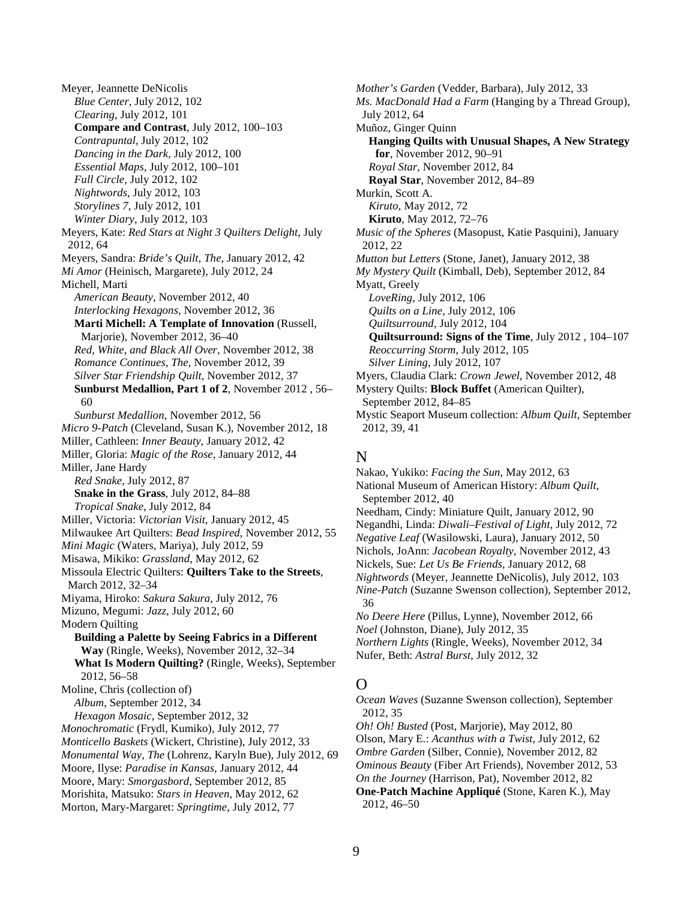Meyer, Jeannette DeNicolis *Blue Center*, July 2012, 102 *Clearing*, July 2012, 101 **Compare and Contrast**, July 2012, 100–103 *Contrapuntal*, July 2012, 102 *Dancing in the Dark*, July 2012, 100 *Essential Maps*, July 2012, 100–101 *Full Circle*, July 2012, 102 *Nightwords*, July 2012, 103 *Storylines 7*, July 2012, 101 *Winter Diary*, July 2012, 103 Meyers, Kate: *Red Stars at Night 3 Quilters Delight*, July 2012, 64 Meyers, Sandra: *Bride's Quilt, The*, January 2012, 42 *Mi Amor* (Heinisch, Margarete), July 2012, 24 Michell, Marti *American Beauty*, November 2012, 40 *Interlocking Hexagons*, November 2012, 36 **Marti Michell: A Template of Innovation** (Russell, Marjorie), November 2012, 36–40 *Red, White, and Black All Over*, November 2012, 38 *Romance Continues, The*, November 2012, 39 *Silver Star Friendship Quilt*, November 2012, 37 **Sunburst Medallion, Part 1 of 2**, November 2012 , 56– 60 *Sunburst Medallion*, November 2012, 56 *Micro 9-Patch* (Cleveland, Susan K.), November 2012, 18 Miller, Cathleen: *Inner Beauty*, January 2012, 42 Miller, Gloria: *Magic of the Rose*, January 2012, 44 Miller, Jane Hardy *Red Snake*, July 2012, 87 **Snake in the Grass**, July 2012, 84–88 *Tropical Snake*, July 2012, 84 Miller, Victoria: *Victorian Visit*, January 2012, 45 Milwaukee Art Quilters: *Bead Inspired*, November 2012, 55 *Mini Magic* (Waters, Mariya), July 2012, 59 Misawa, Mikiko: *Grassland*, May 2012, 62 Missoula Electric Quilters: **Quilters Take to the Streets**, March 2012, 32–34 Miyama, Hiroko: *Sakura Sakura*, July 2012, 76 Mizuno, Megumi: *Jazz*, July 2012, 60 Modern Quilting **Building a Palette by Seeing Fabrics in a Different Way** (Ringle, Weeks), November 2012, 32–34 **What Is Modern Quilting?** (Ringle, Weeks), September 2012, 56–58 Moline, Chris (collection of) *Album*, September 2012, 34 *Hexagon Mosaic*, September 2012, 32 *Monochromatic* (Frydl, Kumiko), July 2012, 77 *Monticello Baskets* (Wickert, Christine), July 2012, 33 *Monumental Way, The* (Lohrenz, Karyln Bue), July 2012, 69 Moore, Ilyse: *Paradise in Kansas*, January 2012, 44 Moore, Mary: *Smorgasbord*, September 2012, 85 Morishita, Matsuko: *Stars in Heaven*, May 2012, 62 Morton, Mary-Margaret: *Springtime*, July 2012, 77

*Mother's Garden* (Vedder, Barbara), July 2012, 33 *Ms. MacDonald Had a Farm* (Hanging by a Thread Group), July 2012, 64 Muñoz, Ginger Quinn **Hanging Quilts with Unusual Shapes, A New Strategy for**, November 2012, 90–91 *Royal Star*, November 2012, 84 **Royal Star**, November 2012, 84–89 Murkin, Scott A. *Kiruto*, May 2012, 72 **Kiruto**, May 2012, 72–76 *Music of the Spheres* (Masopust, Katie Pasquini), January 2012, 22 *Mutton but Letters* (Stone, Janet), January 2012, 38 *My Mystery Quilt* (Kimball, Deb), September 2012, 84 Myatt, Greely *LoveRing*, July 2012, 106 *Quilts on a Line*, July 2012, 106 *Quiltsurround*, July 2012, 104 **Quiltsurround: Signs of the Time**, July 2012 , 104–107 *Reoccurring Storm*, July 2012, 105 *Silver Lining*, July 2012, 107 Myers, Claudia Clark: *Crown Jewel*, November 2012, 48 Mystery Quilts: **Block Buffet** (American Quilter), September 2012, 84–85 Mystic Seaport Museum collection: *Album Quilt*, September 2012, 39, 41

#### N

Nakao, Yukiko: *Facing the Sun*, May 2012, 63 National Museum of American History: *Album Quilt*, September 2012, 40 Needham, Cindy: Miniature Quilt, January 2012, 90 Negandhi, Linda: *Diwali–Festival of Light*, July 2012, 72 *Negative Leaf* (Wasilowski, Laura), January 2012, 50 Nichols, JoAnn: *Jacobean Royalty*, November 2012, 43 Nickels, Sue: *Let Us Be Friends*, January 2012, 68 *Nightwords* (Meyer, Jeannette DeNicolis), July 2012, 103 *Nine-Patch* (Suzanne Swenson collection), September 2012, 36 *No Deere Here* (Pillus, Lynne), November 2012, 66 *Noel* (Johnston, Diane), July 2012, 35 *Northern Lights* (Ringle, Weeks), November 2012, 34 Nufer, Beth: *Astral Burst*, July 2012, 32

## $\Omega$

*Ocean Waves* (Suzanne Swenson collection), September 2012, 35 *Oh! Oh! Busted* (Post, Marjorie), May 2012, 80 Olson, Mary E.: *Acanthus with a Twist*, July 2012, 62 *Ombre Garden* (Silber, Connie), November 2012, 82 *Ominous Beauty* (Fiber Art Friends), November 2012, 53 *On the Journey* (Harrison, Pat), November 2012, 82 **One-Patch Machine Appliqué** (Stone, Karen K.), May 2012, 46–50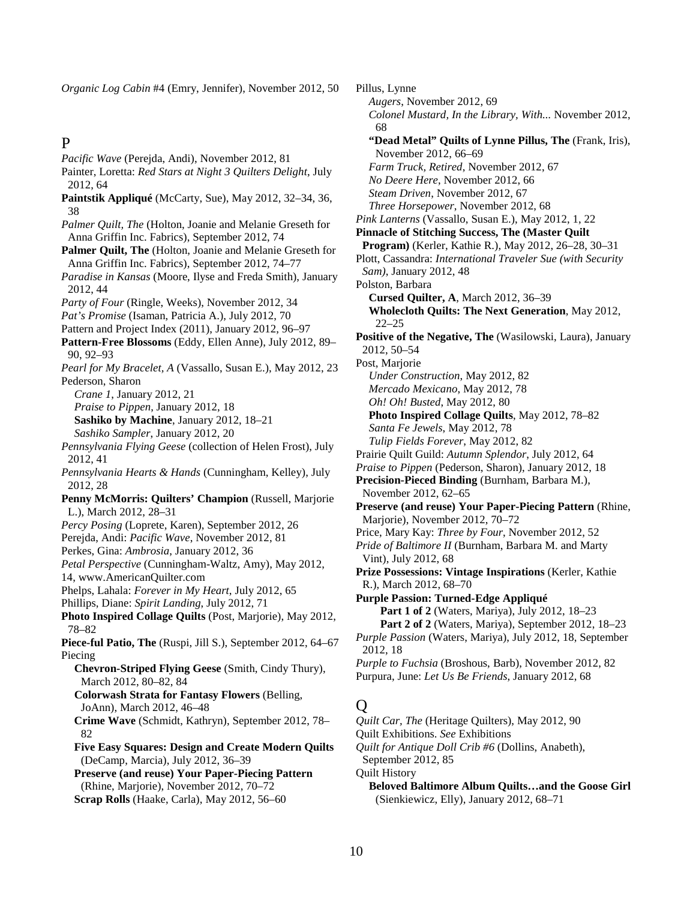*Organic Log Cabin* #4 (Emry, Jennifer), November 2012, 50

## P

*Pacific Wave* (Perejda, Andi), November 2012, 81 Painter, Loretta: *Red Stars at Night 3 Quilters Delight*, July 2012, 64 **Paintstik Appliqué** (McCarty, Sue), May 2012, 32–34, 36, 38 *Palmer Quilt, The* (Holton, Joanie and Melanie Greseth for Anna Griffin Inc. Fabrics), September 2012, 74 **Palmer Quilt, The** (Holton, Joanie and Melanie Greseth for Anna Griffin Inc. Fabrics), September 2012, 74–77 *Paradise in Kansas* (Moore, Ilyse and Freda Smith), January 2012, 44 *Party of Four* (Ringle, Weeks), November 2012, 34 *Pat's Promise* (Isaman, Patricia A.), July 2012, 70 Pattern and Project Index (2011), January 2012, 96–97 **Pattern-Free Blossoms** (Eddy, Ellen Anne), July 2012, 89– 90, 92–93 *Pearl for My Bracelet, A* (Vassallo, Susan E.), May 2012, 23 Pederson, Sharon *Crane 1*, January 2012, 21 *Praise to Pippen*, January 2012, 18 **Sashiko by Machine**, January 2012, 18–21 *Sashiko Sampler*, January 2012, 20 *Pennsylvania Flying Geese* (collection of Helen Frost), July 2012, 41 *Pennsylvania Hearts & Hands* (Cunningham, Kelley), July 2012, 28 **Penny McMorris: Quilters' Champion** (Russell, Marjorie L.), March 2012, 28–31 *Percy Posing* (Loprete, Karen), September 2012, 26 Perejda, Andi: *Pacific Wave*, November 2012, 81 Perkes, Gina: *Ambrosia*, January 2012, 36 *Petal Perspective* (Cunningham-Waltz, Amy), May 2012, 14, www.AmericanQuilter.com Phelps, Lahala: *Forever in My Heart*, July 2012, 65 Phillips, Diane: *Spirit Landing*, July 2012, 71 **Photo Inspired Collage Quilts** (Post, Marjorie), May 2012, 78–82 **Piece-ful Patio, The** (Ruspi, Jill S.), September 2012, 64–67 Piecing **Chevron-Striped Flying Geese** (Smith, Cindy Thury), March 2012, 80–82, 84 **Colorwash Strata for Fantasy Flowers** (Belling, JoAnn), March 2012, 46–48 **Crime Wave** (Schmidt, Kathryn), September 2012, 78– 82 **Five Easy Squares: Design and Create Modern Quilts**  (DeCamp, Marcia), July 2012, 36–39 **Preserve (and reuse) Your Paper-Piecing Pattern** (Rhine, Marjorie), November 2012, 70–72 **Scrap Rolls** (Haake, Carla), May 2012, 56–60

Pillus, Lynne *Augers*, November 2012, 69 *Colonel Mustard, In the Library, With...* November 2012, 68 **"Dead Metal" Quilts of Lynne Pillus, The** (Frank, Iris), November 2012, 66–69 *Farm Truck, Retired*, November 2012, 67 *No Deere Here*, November 2012, 66 *Steam Driven*, November 2012, 67 *Three Horsepower*, November 2012, 68 *Pink Lanterns* (Vassallo, Susan E.), May 2012, 1, 22 **Pinnacle of Stitching Success, The (Master Quilt Program)** (Kerler, Kathie R.), May 2012, 26–28, 30–31 Plott, Cassandra: *International Traveler Sue (with Security Sam)*, January 2012, 48 Polston, Barbara **Cursed Quilter, A**, March 2012, 36–39 **Wholecloth Quilts: The Next Generation**, May 2012, 22–25 **Positive of the Negative, The** (Wasilowski, Laura), January 2012, 50–54 Post, Marjorie *Under Construction*, May 2012, 82 *Mercado Mexicano*, May 2012, 78 *Oh! Oh! Busted*, May 2012, 80 **Photo Inspired Collage Quilts**, May 2012, 78–82 *Santa Fe Jewels*, May 2012, 78 *Tulip Fields Forever*, May 2012, 82 Prairie Quilt Guild: *Autumn Splendor*, July 2012, 64 *Praise to Pippen* (Pederson, Sharon), January 2012, 18 **Precision-Pieced Binding** (Burnham, Barbara M.), November 2012, 62–65 **Preserve (and reuse) Your Paper-Piecing Pattern** (Rhine, Marjorie), November 2012, 70–72 Price, Mary Kay: *Three by Four*, November 2012, 52 *Pride of Baltimore II* (Burnham, Barbara M. and Marty Vint), July 2012, 68 **Prize Possessions: Vintage Inspirations** (Kerler, Kathie R.), March 2012, 68–70 **Purple Passion: Turned-Edge Appliqué Part 1 of 2** (Waters, Mariya), July 2012, 18–23  **Part 2 of 2** (Waters, Mariya), September 2012, 18–23 *Purple Passion* (Waters, Mariya), July 2012, 18, September 2012, 18 *Purple to Fuchsia* (Broshous, Barb), November 2012, 82 Purpura, June: *Let Us Be Friends*, January 2012, 68 Q *Quilt Car, The* (Heritage Quilters), May 2012, 90 Quilt Exhibitions. *See* Exhibitions *Quilt for Antique Doll Crib #6* (Dollins, Anabeth),

Quilt History **Beloved Baltimore Album Quilts…and the Goose Girl** (Sienkiewicz, Elly), January 2012, 68–71

September 2012, 85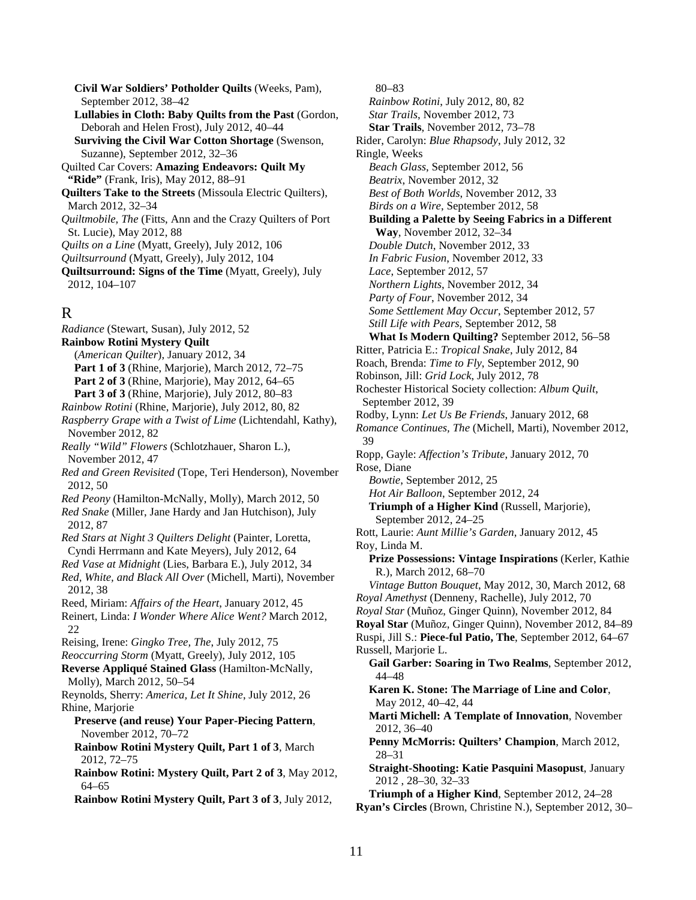**Civil War Soldiers' Potholder Quilts** (Weeks, Pam), September 2012, 38–42 **Lullabies in Cloth: Baby Quilts from the Past** (Gordon, Deborah and Helen Frost), July 2012, 40–44 **Surviving the Civil War Cotton Shortage** (Swenson, Suzanne), September 2012, 32–36 Quilted Car Covers: **Amazing Endeavors: Quilt My "Ride"** (Frank, Iris), May 2012, 88–91 **Quilters Take to the Streets** (Missoula Electric Quilters), March 2012, 32–34 *Quiltmobile, The* (Fitts, Ann and the Crazy Quilters of Port St. Lucie), May 2012, 88 *Quilts on a Line* (Myatt, Greely), July 2012, 106 *Quiltsurround* (Myatt, Greely), July 2012, 104 **Quiltsurround: Signs of the Time** (Myatt, Greely), July 2012, 104–107

# R

*Radiance* (Stewart, Susan), July 2012, 52 **Rainbow Rotini Mystery Quilt** (*American Quilter*), January 2012, 34 **Part 1 of 3** (Rhine, Marjorie), March 2012, 72–75 **Part 2 of 3** (Rhine, Marjorie), May 2012, 64–65 **Part 3 of 3** (Rhine, Marjorie), July 2012, 80–83 *Rainbow Rotini* (Rhine, Marjorie), July 2012, 80, 82 *Raspberry Grape with a Twist of Lime* (Lichtendahl, Kathy), November 2012, 82 *Really "Wild" Flowers* (Schlotzhauer, Sharon L.), November 2012, 47 *Red and Green Revisited* (Tope, Teri Henderson), November 2012, 50 *Red Peony* (Hamilton-McNally, Molly), March 2012, 50 *Red Snake* (Miller, Jane Hardy and Jan Hutchison), July 2012, 87 *Red Stars at Night 3 Quilters Delight* (Painter, Loretta, Cyndi Herrmann and Kate Meyers), July 2012, 64 *Red Vase at Midnight* (Lies, Barbara E.), July 2012, 34 *Red, White, and Black All Over* (Michell, Marti), November 2012, 38 Reed, Miriam: *Affairs of the Heart*, January 2012, 45 Reinert, Linda: *I Wonder Where Alice Went?* March 2012, 22 Reising, Irene: *Gingko Tree, The*, July 2012, 75 *Reoccurring Storm* (Myatt, Greely), July 2012, 105 **Reverse Appliqué Stained Glass** (Hamilton-McNally, Molly), March 2012, 50–54 Reynolds, Sherry: *America, Let It Shine*, July 2012, 26 Rhine, Marjorie **Preserve (and reuse) Your Paper-Piecing Pattern**, November 2012, 70–72 **Rainbow Rotini Mystery Quilt, Part 1 of 3**, March 2012, 72–75 **Rainbow Rotini: Mystery Quilt, Part 2 of 3**, May 2012, 64–65 **Rainbow Rotini Mystery Quilt, Part 3 of 3**, July 2012,

80–83 *Rainbow Rotini*, July 2012, 80, 82 *Star Trails*, November 2012, 73 **Star Trails**, November 2012, 73–78 Rider, Carolyn: *Blue Rhapsody*, July 2012, 32 Ringle, Weeks *Beach Glass*, September 2012, 56 *Beatrix*, November 2012, 32 *Best of Both Worlds*, November 2012, 33 *Birds on a Wire*, September 2012, 58 **Building a Palette by Seeing Fabrics in a Different Way**, November 2012, 32–34 *Double Dutch*, November 2012, 33 *In Fabric Fusion*, November 2012, 33 *Lace*, September 2012, 57 *Northern Lights*, November 2012, 34 *Party of Four*, November 2012, 34 *Some Settlement May Occur*, September 2012, 57 *Still Life with Pears*, September 2012, 58 **What Is Modern Quilting?** September 2012, 56–58 Ritter, Patricia E.: *Tropical Snake*, July 2012, 84 Roach, Brenda: *Time to Fly*, September 2012, 90 Robinson, Jill: *Grid Lock*, July 2012, 78 Rochester Historical Society collection: *Album Quilt*, September 2012, 39 Rodby, Lynn: *Let Us Be Friends*, January 2012, 68 *Romance Continues, The* (Michell, Marti), November 2012, 39 Ropp, Gayle: *Affection's Tribute*, January 2012, 70 Rose, Diane *Bowtie*, September 2012, 25 *Hot Air Balloon*, September 2012, 24 **Triumph of a Higher Kind** (Russell, Marjorie), September 2012, 24–25 Rott, Laurie: *Aunt Millie's Garden*, January 2012, 45 Roy, Linda M. **Prize Possessions: Vintage Inspirations** (Kerler, Kathie R.), March 2012, 68–70 *Vintage Button Bouquet*, May 2012, 30, March 2012, 68 *Royal Amethyst* (Denneny, Rachelle), July 2012, 70 *Royal Star* (Muñoz, Ginger Quinn), November 2012, 84 **Royal Star** (Muñoz, Ginger Quinn), November 2012, 84–89 Ruspi, Jill S.: **Piece-ful Patio, The**, September 2012, 64–67 Russell, Marjorie L. **Gail Garber: Soaring in Two Realms**, September 2012, 44–48 **Karen K. Stone: The Marriage of Line and Color**, May 2012, 40–42, 44 **Marti Michell: A Template of Innovation**, November 2012, 36–40 **Penny McMorris: Quilters' Champion**, March 2012, 28–31 **Straight-Shooting: Katie Pasquini Masopust**, January 2012 , 28–30, 32–33 **Triumph of a Higher Kind**, September 2012, 24–28 **Ryan's Circles** (Brown, Christine N.), September 2012, 30–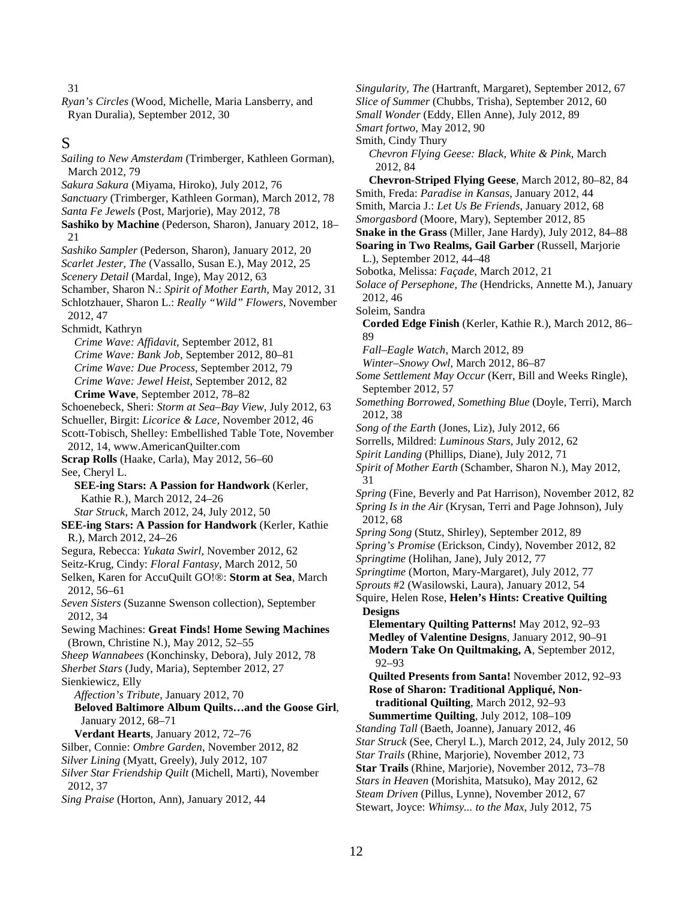31

*Ryan's Circles* (Wood, Michelle, Maria Lansberry, and Ryan Duralia), September 2012, 30

#### S

*Sailing to New Amsterdam* (Trimberger, Kathleen Gorman), March 2012, 79 *Sakura Sakura* (Miyama, Hiroko), July 2012, 76 *Sanctuary* (Trimberger, Kathleen Gorman), March 2012, 78 *Santa Fe Jewels* (Post, Marjorie), May 2012, 78 **Sashiko by Machine** (Pederson, Sharon), January 2012, 18– 21 *Sashiko Sampler* (Pederson, Sharon), January 2012, 20 *Scarlet Jester, The* (Vassallo, Susan E.), May 2012, 25 *Scenery Detail* (Mardal, Inge), May 2012, 63 Schamber, Sharon N.: *Spirit of Mother Earth*, May 2012, 31 Schlotzhauer, Sharon L.: *Really "Wild" Flowers*, November 2012, 47 Schmidt, Kathryn *Crime Wave: Affidavit*, September 2012, 81 *Crime Wave: Bank Job*, September 2012, 80–81 *Crime Wave: Due Process*, September 2012, 79 *Crime Wave: Jewel Heist*, September 2012, 82 **Crime Wave**, September 2012, 78–82 Schoenebeck, Sheri: *Storm at Sea–Bay View*, July 2012, 63 Schueller, Birgit: *Licorice & Lace*, November 2012, 46 Scott-Tobisch, Shelley: Embellished Table Tote, November 2012, 14, www.AmericanQuilter.com **Scrap Rolls** (Haake, Carla), May 2012, 56–60 See, Cheryl L. **SEE-ing Stars: A Passion for Handwork** (Kerler, Kathie R.), March 2012, 24–26 *Star Struck*, March 2012, 24, July 2012, 50 **SEE-ing Stars: A Passion for Handwork** (Kerler, Kathie R.), March 2012, 24–26 Segura, Rebecca: *Yukata Swirl*, November 2012, 62 Seitz-Krug, Cindy: *Floral Fantasy*, March 2012, 50 Selken, Karen for AccuQuilt GO!®: **Storm at Sea**, March 2012, 56–61 *Seven Sisters* (Suzanne Swenson collection), September 2012, 34 Sewing Machines: **Great Finds! Home Sewing Machines** (Brown, Christine N.), May 2012, 52–55 *Sheep Wannabees* (Konchinsky, Debora), July 2012, 78 *Sherbet Stars* (Judy, Maria), September 2012, 27 Sienkiewicz, Elly *Affection's Tribute*, January 2012, 70 **Beloved Baltimore Album Quilts…and the Goose Girl**, January 2012, 68–71 **Verdant Hearts**, January 2012, 72–76 Silber, Connie: *Ombre Garden*, November 2012, 82 *Silver Lining* (Myatt, Greely), July 2012, 107 *Silver Star Friendship Quilt* (Michell, Marti), November 2012, 37 *Sing Praise* (Horton, Ann), January 2012, 44

*Singularity, The* (Hartranft, Margaret), September 2012, 67 *Slice of Summer* (Chubbs, Trisha), September 2012, 60 *Small Wonder* (Eddy, Ellen Anne), July 2012, 89 *Smart fortwo*, May 2012, 90 Smith, Cindy Thury *Chevron Flying Geese: Black, White & Pink*, March 2012, 84 **Chevron-Striped Flying Geese**, March 2012, 80–82, 84 Smith, Freda: *Paradise in Kansas*, January 2012, 44 Smith, Marcia J.: *Let Us Be Friends*, January 2012, 68 *Smorgasbord* (Moore, Mary), September 2012, 85 **Snake in the Grass** (Miller, Jane Hardy), July 2012, 84–88 **Soaring in Two Realms, Gail Garber** (Russell, Marjorie L.), September 2012, 44–48 Sobotka, Melissa: *Façade*, March 2012, 21 *Solace of Persephone, The* (Hendricks, Annette M.), January 2012, 46 Soleim, Sandra **Corded Edge Finish** (Kerler, Kathie R.), March 2012, 86– 89 *Fall–Eagle Watch*, March 2012, 89 *Winter–Snowy Owl*, March 2012, 86–87 *Some Settlement May Occur* (Kerr, Bill and Weeks Ringle), September 2012, 57 *Something Borrowed, Something Blue* (Doyle, Terri), March 2012, 38 *Song of the Earth* (Jones, Liz), July 2012, 66 Sorrells, Mildred: *Luminous Stars*, July 2012, 62 *Spirit Landing* (Phillips, Diane), July 2012, 71 *Spirit of Mother Earth* (Schamber, Sharon N.), May 2012, 31 *Spring* (Fine, Beverly and Pat Harrison), November 2012, 82 *Spring Is in the Air* (Krysan, Terri and Page Johnson), July 2012, 68 *Spring Song* (Stutz, Shirley), September 2012, 89 *Spring's Promise* (Erickson, Cindy), November 2012, 82 *Springtime* (Holihan, Jane), July 2012, 77 *Springtime* (Morton, Mary-Margaret), July 2012, 77 *Sprouts* #2 (Wasilowski, Laura), January 2012, 54 Squire, Helen Rose, **Helen's Hints: Creative Quilting Designs Elementary Quilting Patterns!** May 2012, 92–93 **Medley of Valentine Designs**, January 2012, 90–91 **Modern Take On Quiltmaking, A**, September 2012, 92–93 **Quilted Presents from Santa!** November 2012, 92–93 **Rose of Sharon: Traditional Appliqué, Nontraditional Quilting**, March 2012, 92–93 **Summertime Quilting**, July 2012, 108–109 *Standing Tall* (Baeth, Joanne), January 2012, 46 *Star Struck* (See, Cheryl L.), March 2012, 24, July 2012, 50 *Star Trails* (Rhine, Marjorie), November 2012, 73 **Star Trails** (Rhine, Marjorie), November 2012, 73–78 *Stars in Heaven* (Morishita, Matsuko), May 2012, 62 *Steam Driven* (Pillus, Lynne), November 2012, 67

Stewart, Joyce: *Whimsy... to the Max*, July 2012, 75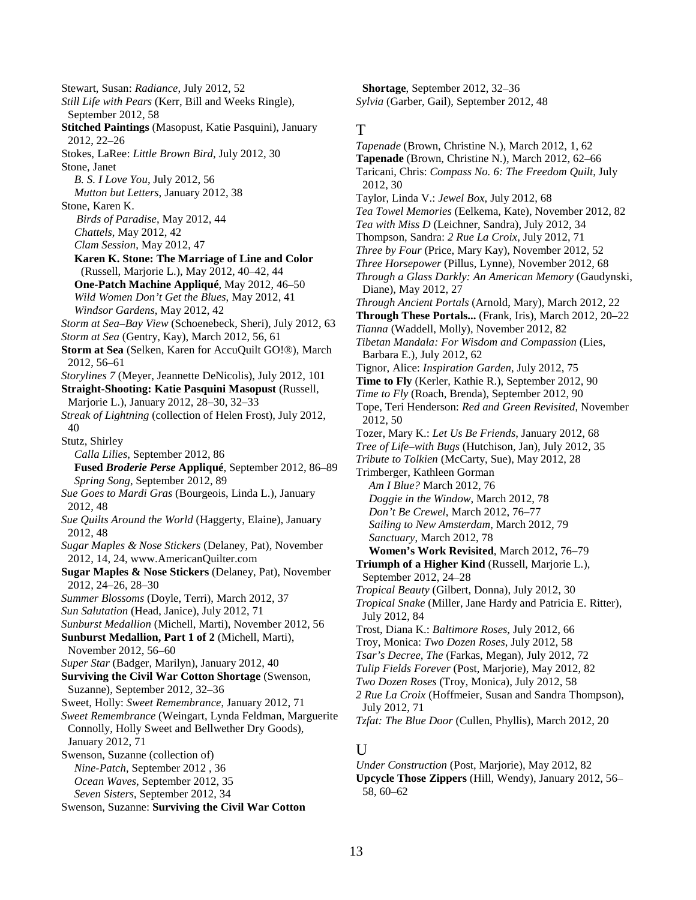Stewart, Susan: *Radiance*, July 2012, 52 *Still Life with Pears* (Kerr, Bill and Weeks Ringle), September 2012, 58 **Stitched Paintings** (Masopust, Katie Pasquini), January 2012, 22–26 Stokes, LaRee: *Little Brown Bird*, July 2012, 30 Stone, Janet *B. S. I Love You*, July 2012, 56 *Mutton but Letters*, January 2012, 38 Stone, Karen K. *Birds of Paradise*, May 2012, 44 *Chattels*, May 2012, 42 *Clam Session*, May 2012, 47 **Karen K. Stone: The Marriage of Line and Color** (Russell, Marjorie L.), May 2012, 40–42, 44 **One-Patch Machine Appliqué**, May 2012, 46–50 *Wild Women Don't Get the Blues*, May 2012, 41 *Windsor Gardens*, May 2012, 42 *Storm at Sea–Bay View* (Schoenebeck, Sheri), July 2012, 63 *Storm at Sea* (Gentry, Kay), March 2012, 56, 61 **Storm at Sea** (Selken, Karen for AccuQuilt GO!®), March 2012, 56–61 *Storylines 7* (Meyer, Jeannette DeNicolis), July 2012, 101 **Straight-Shooting: Katie Pasquini Masopust** (Russell, Marjorie L.), January 2012, 28–30, 32–33 *Streak of Lightning* (collection of Helen Frost), July 2012, 40 Stutz, Shirley *Calla Lilies*, September 2012, 86 **Fused** *Broderie Perse* **Appliqué**, September 2012, 86–89 *Spring Song*, September 2012, 89 *Sue Goes to Mardi Gras* (Bourgeois, Linda L.), January 2012, 48 *Sue Quilts Around the World* (Haggerty, Elaine), January 2012, 48 *Sugar Maples & Nose Stickers* (Delaney, Pat), November 2012, 14, 24, www.AmericanQuilter.com **Sugar Maples & Nose Stickers** (Delaney, Pat), November 2012, 24–26, 28–30 *Summer Blossoms* (Doyle, Terri), March 2012, 37 *Sun Salutation* (Head, Janice), July 2012, 71 *Sunburst Medallion* (Michell, Marti), November 2012, 56 **Sunburst Medallion, Part 1 of 2** (Michell, Marti), November 2012, 56–60 *Super Star* (Badger, Marilyn), January 2012, 40 **Surviving the Civil War Cotton Shortage** (Swenson, Suzanne), September 2012, 32–36 Sweet, Holly: *Sweet Remembrance*, January 2012, 71 *Sweet Remembrance* (Weingart, Lynda Feldman, Marguerite Connolly, Holly Sweet and Bellwether Dry Goods), January 2012, 71 Swenson, Suzanne (collection of) *Nine-Patch*, September 2012 , 36 *Ocean Waves*, September 2012, 35 *Seven Sisters*, September 2012, 34 Swenson, Suzanne: **Surviving the Civil War Cotton** 

**Shortage**, September 2012, 32–36 *Sylvia* (Garber, Gail), September 2012, 48

#### T

*Tapenade* (Brown, Christine N.), March 2012, 1, 62 **Tapenade** (Brown, Christine N.), March 2012, 62–66 Taricani, Chris: *Compass No. 6: The Freedom Quilt*, July 2012, 30 Taylor, Linda V.: *Jewel Box*, July 2012, 68 *Tea Towel Memories* (Eelkema, Kate), November 2012, 82 *Tea with Miss D* (Leichner, Sandra), July 2012, 34 Thompson, Sandra: *2 Rue La Croix*, July 2012, 71 *Three by Four* (Price, Mary Kay), November 2012, 52 *Three Horsepower* (Pillus, Lynne), November 2012, 68 *Through a Glass Darkly: An American Memory* (Gaudynski, Diane), May 2012, 27 *Through Ancient Portals* (Arnold, Mary), March 2012, 22 **Through These Portals...** (Frank, Iris), March 2012, 20–22 *Tianna* (Waddell, Molly), November 2012, 82 *Tibetan Mandala: For Wisdom and Compassion* (Lies, Barbara E.), July 2012, 62 Tignor, Alice: *Inspiration Garden*, July 2012, 75 **Time to Fly** (Kerler, Kathie R.), September 2012, 90 *Time to Fly* (Roach, Brenda), September 2012, 90 Tope, Teri Henderson: *Red and Green Revisited*, November 2012, 50 Tozer, Mary K.: *Let Us Be Friends*, January 2012, 68 *Tree of Life–with Bugs* (Hutchison, Jan), July 2012, 35 *Tribute to Tolkien* (McCarty, Sue), May 2012, 28 Trimberger, Kathleen Gorman *Am I Blue?* March 2012, 76 *Doggie in the Window*, March 2012, 78 *Don't Be Crewel*, March 2012, 76–77 *Sailing to New Amsterdam*, March 2012, 79 *Sanctuary*, March 2012, 78 **Women's Work Revisited**, March 2012, 76–79 **Triumph of a Higher Kind** (Russell, Marjorie L.), September 2012, 24–28 *Tropical Beauty* (Gilbert, Donna), July 2012, 30 *Tropical Snake* (Miller, Jane Hardy and Patricia E. Ritter), July 2012, 84 Trost, Diana K.: *Baltimore Roses*, July 2012, 66 Troy, Monica: *Two Dozen Roses*, July 2012, 58 *Tsar's Decree, The* (Farkas, Megan), July 2012, 72 *Tulip Fields Forever* (Post, Marjorie), May 2012, 82 *Two Dozen Roses* (Troy, Monica), July 2012, 58 *2 Rue La Croix* (Hoffmeier, Susan and Sandra Thompson), July 2012, 71 *Tzfat: The Blue Door* (Cullen, Phyllis), March 2012, 20

### U

*Under Construction* (Post, Marjorie), May 2012, 82 **Upcycle Those Zippers** (Hill, Wendy), January 2012, 56– 58, 60–62